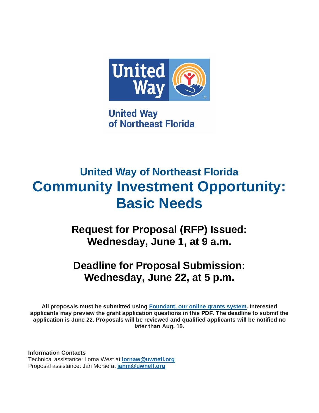

**United Way** of Northeast Florida

# **United Way of Northeast Florida Community Investment Opportunity: Basic Needs**

**Request for Proposal (RFP) Issued: Wednesday, June 1, at 9 a.m.**

# **Deadline for Proposal Submission: Wednesday, June 22, at 5 p.m.**

**All proposals must be submitted using [Foundant, our online grants system.](https://www.grantinterface.com/Home/Logon?urlkey=horizon) Interested applicants may preview the grant application questions in this PDF. The deadline to submit the application is June 22. Proposals will be reviewed and qualified applicants will be notified no later than Aug. 15.**

**Information Contacts** Technical assistance: Lorna West at **[lornaw@uwnefl.org](mailto:lornaw@uwnefl.org)** Proposal assistance: Jan Morse at **[janm@uwnefl.org](mailto:janm@uwnefl.org)**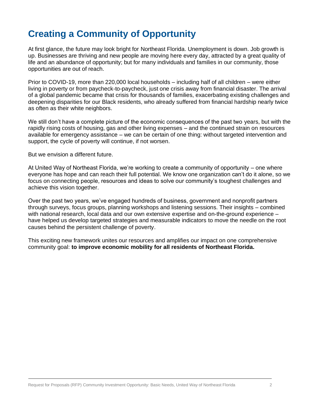# **Creating a Community of Opportunity**

At first glance, the future may look bright for Northeast Florida. Unemployment is down. Job growth is up. Businesses are thriving and new people are moving here every day, attracted by a great quality of life and an abundance of opportunity; but for many individuals and families in our community, those opportunities are out of reach.

Prior to COVID-19, more than 220,000 local households – including half of all children – were either living in poverty or from paycheck-to-paycheck, just one crisis away from financial disaster. The arrival of a global pandemic became that crisis for thousands of families, exacerbating existing challenges and deepening disparities for our Black residents, who already suffered from financial hardship nearly twice as often as their white neighbors.

We still don't have a complete picture of the economic consequences of the past two years, but with the rapidly rising costs of housing, gas and other living expenses – and the continued strain on resources available for emergency assistance – we can be certain of one thing: without targeted intervention and support, the cycle of poverty will continue, if not worsen.

But we envision a different future.

At United Way of Northeast Florida, we're working to create a community of opportunity – one where everyone has hope and can reach their full potential. We know one organization can't do it alone, so we focus on connecting people, resources and ideas to solve our community's toughest challenges and achieve this vision together.

Over the past two years, we've engaged hundreds of business, government and nonprofit partners through surveys, focus groups, planning workshops and listening sessions. Their insights – combined with national research, local data and our own extensive expertise and on-the-ground experience – have helped us develop targeted strategies and measurable indicators to move the needle on the root causes behind the persistent challenge of poverty.

This exciting new framework unites our resources and amplifies our impact on one comprehensive community goal: **to improve economic mobility for all residents of Northeast Florida.**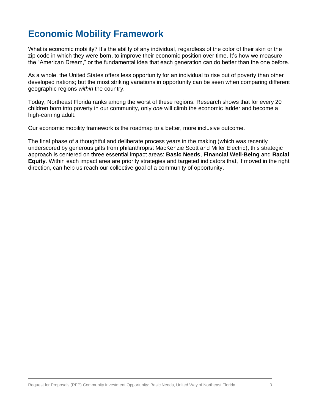# **Economic Mobility Framework**

What is economic mobility? It's the ability of any individual, regardless of the color of their skin or the zip code in which they were born, to improve their economic position over time. It's how we measure the "American Dream," or the fundamental idea that each generation can do better than the one before.

As a whole, the United States offers less opportunity for an individual to rise out of poverty than other developed nations; but the most striking variations in opportunity can be seen when comparing different geographic regions *within* the country.

Today, Northeast Florida ranks among the worst of these regions. Research shows that for every 20 children born into poverty in our community, only *one* will climb the economic ladder and become a high-earning adult.

Our economic mobility framework is the roadmap to a better, more inclusive outcome.

The final phase of a thoughtful and deliberate process years in the making (which was recently underscored by generous gifts from philanthropist MacKenzie Scott and Miller Electric), this strategic approach is centered on three essential impact areas: **Basic Needs**, **Financial Well-Being** and **Racial Equity**. Within each impact area are priority strategies and targeted indicators that, if moved in the right direction, can help us reach our collective goal of a community of opportunity.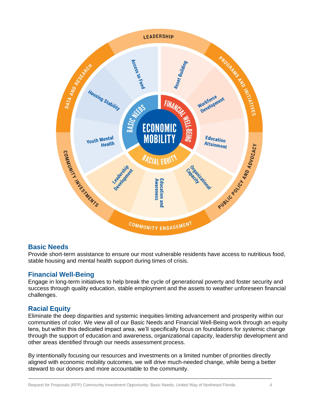

### **Basic Needs**

Provide short-term assistance to ensure our most vulnerable residents have access to nutritious food, stable housing and mental health support during times of crisis.

#### **Financial Well-Being**

Engage in long-term initiatives to help break the cycle of generational poverty and foster security and success through quality education, stable employment and the assets to weather unforeseen financial challenges.

#### **Racial Equity**

Eliminate the deep disparities and systemic inequities limiting advancement and prosperity within our communities of color. We view all of our Basic Needs and Financial Well-Being work through an equity lens, but within this dedicated impact area, we'll specifically focus on foundations for systemic change through the support of education and awareness, organizational capacity, leadership development and other areas identified through our needs assessment process.

By intentionally focusing our resources and investments on a limited number of priorities directly aligned with economic mobility outcomes, we will drive much-needed change, while being a better steward to our donors and more accountable to the community.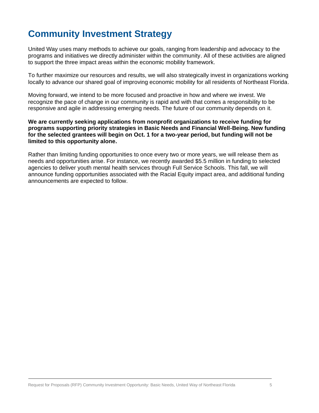# **Community Investment Strategy**

United Way uses many methods to achieve our goals, ranging from leadership and advocacy to the programs and initiatives we directly administer within the community. All of these activities are aligned to support the three impact areas within the economic mobility framework.

To further maximize our resources and results, we will also strategically invest in organizations working locally to advance our shared goal of improving economic mobility for all residents of Northeast Florida.

Moving forward, we intend to be more focused and proactive in how and where we invest. We recognize the pace of change in our community is rapid and with that comes a responsibility to be responsive and agile in addressing emerging needs. The future of our community depends on it.

#### **We are currently seeking applications from nonprofit organizations to receive funding for programs supporting priority strategies in Basic Needs and Financial Well-Being. New funding for the selected grantees will begin on Oct. 1 for a two-year period, but funding will not be limited to this opportunity alone.**

Rather than limiting funding opportunities to once every two or more years, we will release them as needs and opportunities arise. For instance, we recently awarded \$5.5 million in funding to selected agencies to deliver youth mental health services through Full Service Schools. This fall, we will announce funding opportunities associated with the Racial Equity impact area, and additional funding announcements are expected to follow.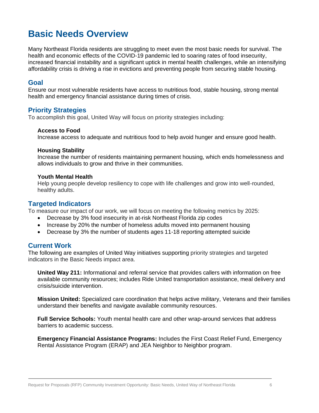# **Basic Needs Overview**

Many Northeast Florida residents are struggling to meet even the most basic needs for survival. The health and economic effects of the COVID-19 pandemic led to soaring rates of food insecurity, increased financial instability and a significant uptick in mental health challenges, while an intensifying affordability crisis is driving a rise in evictions and preventing people from securing stable housing.

#### **Goal**

Ensure our most vulnerable residents have access to nutritious food, stable housing, strong mental health and emergency financial assistance during times of crisis.

#### **Priority Strategies**

To accomplish this goal, United Way will focus on priority strategies including:

#### **Access to Food**

Increase access to adequate and nutritious food to help avoid hunger and ensure good health.

#### **Housing Stability**

Increase the number of residents maintaining permanent housing, which ends homelessness and allows individuals to grow and thrive in their communities.

#### **Youth Mental Health**

Help young people develop resiliency to cope with life challenges and grow into well-rounded, healthy adults.

#### **Targeted Indicators**

To measure our impact of our work, we will focus on meeting the following metrics by 2025:

- Decrease by 3% food insecurity in at-risk Northeast Florida zip codes
- Increase by 20% the number of homeless adults moved into permanent housing
- Decrease by 3% the number of students ages 11-18 reporting attempted suicide

### **Current Work**

The following are examples of United Way initiatives supporting priority strategies and targeted indicators in the Basic Needs impact area.

**United Way 211:** Informational and referral service that provides callers with information on free available community resources; includes Ride United transportation assistance, meal delivery and crisis/suicide intervention.

**Mission United:** Specialized care coordination that helps active military, Veterans and their families understand their benefits and navigate available community resources.

**Full Service Schools:** Youth mental health care and other wrap-around services that address barriers to academic success.

**Emergency Financial Assistance Programs:** Includes the First Coast Relief Fund, Emergency Rental Assistance Program (ERAP) and JEA Neighbor to Neighbor program.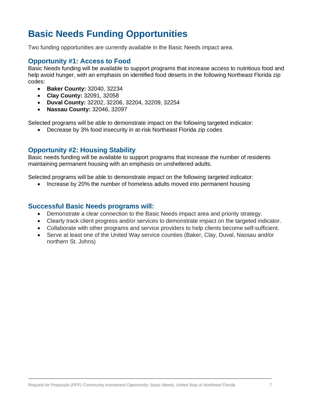# **Basic Needs Funding Opportunities**

Two funding opportunities are currently available in the Basic Needs impact area.

#### **Opportunity #1: Access to Food**

Basic Needs funding will be available to support programs that increase access to nutritious food and help avoid hunger, with an emphasis on identified food deserts in the following Northeast Florida zip codes:

- **Baker County:** 32040, 32234
- **Clay County:** 32091, 32058
- **Duval County:** 32202, 32206, 32204, 32209, 32254
- **Nassau County:** 32046, 32097

Selected programs will be able to demonstrate impact on the following targeted indicator:

• Decrease by 3% food insecurity in at-risk Northeast Florida zip codes

### **Opportunity #2: Housing Stability**

Basic needs funding will be available to support programs that increase the number of residents maintaining permanent housing with an emphasis on unsheltered adults.

Selected programs will be able to demonstrate impact on the following targeted indicator:

• Increase by 20% the number of homeless adults moved into permanent housing

#### **Successful Basic Needs programs will:**

- Demonstrate a clear connection to the Basic Needs impact area and priority strategy.
- Clearly track client progress and/or services to demonstrate impact on the targeted indicator.
- Collaborate with other programs and service providers to help clients become self-sufficient.
- Serve at least one of the United Way service counties (Baker, Clay, Duval, Nassau and/or northern St. Johns)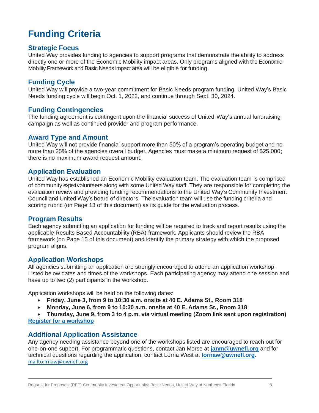# **Funding Criteria**

### **Strategic Focus**

United Way provides funding to agencies to support programs that demonstrate the ability to address directly one or more of the Economic Mobility impact areas. Only programs aligned with the Economic Mobility Framework and Basic Needs impact area will be eligible for funding.

### **Funding Cycle**

United Way will provide a two-year commitment for Basic Needs program funding. United Way's Basic Needs funding cycle will begin Oct. 1, 2022, and continue through Sept. 30, 2024.

#### **Funding Contingencies**

The funding agreement is contingent upon the financial success of United Way's annual fundraising campaign as well as continued provider and program performance.

#### **Award Type and Amount**

United Way will not provide financial support more than 50% of a program's operating budget and no more than 25% of the agencies overall budget. Agencies must make a minimum request of \$25,000; there is no maximum award request amount.

#### **Application Evaluation**

United Way has established an Economic Mobility evaluation team. The evaluation team is comprised of community expert volunteers along with some United Way staff. They are responsible for completing the evaluation review and providing funding recommendations to the United Way's Community Investment Council and United Way's board of directors. The evaluation team will use the funding criteria and scoring rubric (on Page 13 of this document) as its guide for the evaluation process.

#### **Program Results**

Each agency submitting an application for funding will be required to track and report results using the applicable Results Based Accountability (RBA) framework. Applicants should review the RBA framework (on Page 15 of this document) and identify the primary strategy with which the proposed program aligns.

#### **Application Workshops**

All agencies submitting an application are strongly encouraged to attend an application workshop. Listed below dates and times of the workshops. Each participating agency may attend one session and have up to two (2) participants in the workshop.

Application workshops will be held on the following dates:

- **Friday, June 3, from 9 to 10:30 a.m. onsite at 40 E. Adams St., Room 318**
- **Monday, June 6, from 9 to 10:30 a.m. onsite at 40 E. Adams St., Room 318**

• **Thursday, June 9, from 3 to 4 p.m. via virtual meeting (Zoom link sent upon registration) [Register for a workshop](https://uwneflrfpworkshop22.paperform.co/)**

#### **Additional Application Assistance**

Any agency needing assistance beyond one of the workshops listed are encouraged to reach out for one-on-one support. For programmatic questions, contact Jan Morse at **[janm@uwnefl.org](mailto:janm@uwnefl.org)** and for technical questions regarding the application, contact Lorna West at **[lornaw@uwnefl.org](mailto:lornaw@uwnefl.org)**. <mailto:lrnaw@uwnefl.org>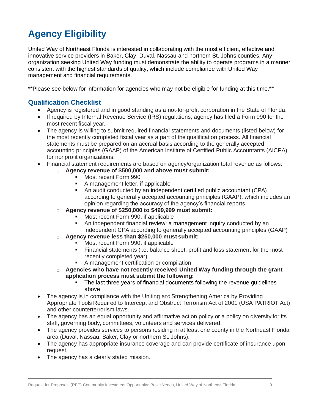# **Agency Eligibility**

United Way of Northeast Florida is interested in collaborating with the most efficient, effective and innovative service providers in Baker, Clay, Duval, Nassau and northern St. Johns counties. Any organization seeking United Way funding must demonstrate the ability to operate programs in a manner consistent with the highest standards of quality, which include compliance with United Way management and financial requirements.

\*\*Please see below for information for agencies who may not be eligible for funding at this time.\*\*

# **Qualification Checklist**

- Agency is registered and in good standing as a not-for-profit corporation in the State of Florida.
- If required by Internal Revenue Service (IRS) regulations, agency has filed a Form 990 for the most recent fiscal year.
- The agency is willing to submit required financial statements and documents (listed below) for the most recently completed fiscal year as a part of the qualification process. All financial statements must be prepared on an accrual basis according to the generally accepted accounting principles (GAAP) of the American Institute of Certified Public Accountants (AICPA) for nonprofit organizations.
- Financial statement requirements are based on agency/organization total revenue as follows:
	- o **Agency revenue of \$500,000 and above must submit:**
		- Most recent Form 990
		- A management letter, if applicable
		- An audit conducted by an independent certified public accountant (CPA) according to generally accepted accounting principles (GAAP), which includes an opinion regarding the accuracy of the agency's financial reports.
	- o **Agency revenue of \$250,000 to \$499,999 must submit:**
		- Most recent Form 990, if applicable
		- An independent financial review: a management inquiry conducted by an independent CPA according to generally accepted accounting principles (GAAP)
	- o **Agency revenue less than \$250,000 must submit:**
		- Most recent Form 990, if applicable
		- **EXECT** Financial statements (i.e. balance sheet, profit and loss statement for the most recently completed year)
		- A management certification or compilation
	- o **Agencies who have not recently received United Way funding through the grant application process must submit the following:**
		- The last three years of financial documents following the revenue guidelines above
- The agency is in compliance with the Uniting and Strengthening America by Providing Appropriate Tools Required to Intercept and Obstruct Terrorism Act of 2001 (USA PATRIOT Act) and other counterterrorism laws.
- The agency has an equal opportunity and affirmative action policy or a policy on diversity for its staff, governing body, committees, volunteers and services delivered.
- The agency provides services to persons residing in at least one county in the Northeast Florida area (Duval, Nassau, Baker, Clay or northern St. Johns).
- The agency has appropriate insurance coverage and can provide certificate of insurance upon request.
- The agency has a clearly stated mission.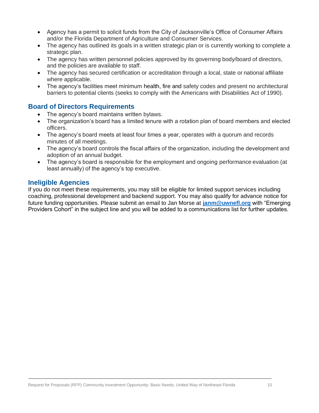- Agency has a permit to solicit funds from the City of Jacksonville's Office of Consumer Affairs and/or the Florida Department of Agriculture and Consumer Services.
- The agency has outlined its goals in a written strategic plan or is currently working to complete a strategic plan.
- The agency has written personnel policies approved by its governing body/board of directors, and the policies are available to staff.
- The agency has secured certification or accreditation through a local, state or national affiliate where applicable.
- The agency's facilities meet minimum health, fire and safety codes and present no architectural barriers to potential clients (seeks to comply with the Americans with Disabilities Act of 1990).

### **Board of Directors Requirements**

- The agency's board maintains written bylaws.
- The organization's board has a limited tenure with a rotation plan of board members and elected officers.
- The agency's board meets at least four times a year, operates with a quorum and records minutes of all meetings.
- The agency's board controls the fiscal affairs of the organization, including the development and adoption of an annual budget.
- The agency's board is responsible for the employment and ongoing performance evaluation (at least annually) of the agency's top executive.

# **Ineligible Agencies**

If you do not meet these requirements, you may still be eligible for limited support services including coaching, professional development and backend support. You may also qualify for advance notice for future funding opportunities. Please submit an email to Jan Morse at **[janm@uwnefl.org](mailto:janm@uwnefl.org)** with "Emerging Providers Cohort" in the subject line and you will be added to a communications list for further updates.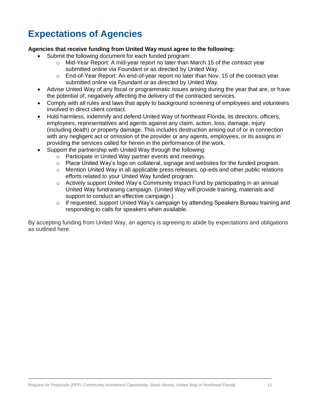# **Expectations of Agencies**

#### **Agencies that receive funding from United Way must agree to the following:**

- Submit the following document for each funded program:
	- $\circ$  Mid-Year Report: A mid-year report no later than March 15 of the contract year submitted online via Foundant or as directed by United Way.
	- $\circ$  End-of-Year Report: An end-of-year report no later than Nov. 15 of the contract year submitted online via Foundant or as directed by United Way.
- Advise United Way of any fiscal or programmatic issues arising during the year that are, or have the potential of, negatively affecting the delivery of the contracted services.
- Comply with all rules and laws that apply to background screening of employees and volunteers involved in direct client contact.
- Hold harmless, indemnify and defend United Way of Northeast Florida, its directors, officers, employees, representatives and agents against any claim, action, loss, damage, injury (including death) or property damage. This includes destruction arising out of or in connection with any negligent act or omission of the provider or any agents, employees, or its assigns in providing the services called for herein in the performance of the work.
- Support the partnership with United Way through the following:
	- o Participate in United Way partner events and meetings.
	- $\circ$  Place United Way's logo on collateral, signage and websites for the funded program.
	- $\circ$  Mention United Way in all applicable press releases, op-eds and other public relations efforts related to your United Way funded program.
	- o Actively support United Way's Community Impact Fund by participating in an annual United Way fundraising campaign. (United Way will provide training, materials and support to conduct an effective campaign.)
	- o If requested, support United Way's campaign by attending Speakers Bureau training and responding to calls for speakers when available.

By accepting funding from United Way, an agency is agreeing to abide by expectations and obligations as outlined here.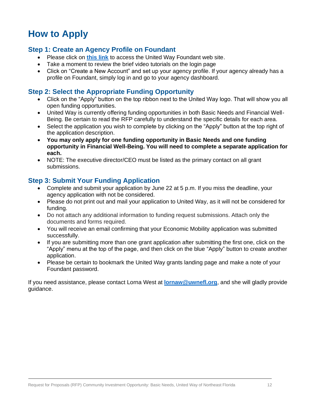# **How to Apply**

### **Step 1: Create an Agency Profile on Foundant**

- Please click on **[this link](https://www.grantinterface.com/Home/Logon?urlkey=uwnefl)** to access the United Way Foundant web site.
- Take a moment to review the brief video tutorials on the login page
- Click on "Create a New Account" and set up your agency profile. If your agency already has a profile on Foundant, simply log in and go to your agency dashboard.

#### **Step 2: Select the Appropriate Funding Opportunity**

- Click on the "Apply" button on the top ribbon next to the United Way logo. That will show you all open funding opportunities.
- United Way is currently offering funding opportunities in both Basic Needs and Financial Well-Being. Be certain to read the RFP carefully to understand the specific details for each area.
- Select the application you wish to complete by clicking on the "Apply" button at the top right of the application description.
- **You may only apply for one funding opportunity in Basic Needs and one funding opportunity in Financial Well-Being. You will need to complete a separate application for each.**
- NOTE: The executive director/CEO must be listed as the primary contact on all grant submissions.

# **Step 3: Submit Your Funding Application**

- Complete and submit your application by June 22 at 5 p.m. If you miss the deadline, your agency application with not be considered.
- Please do not print out and mail your application to United Way, as it will not be considered for funding.
- Do not attach any additional information to funding request submissions. Attach only the documents and forms required.
- You will receive an email confirming that your Economic Mobility application was submitted successfully.
- If you are submitting more than one grant application after submitting the first one, click on the "Apply" menu at the top of the page, and then click on the blue "Apply" button to create another application.
- Please be certain to bookmark the United Way grants landing page and make a note of your Foundant password.

If you need assistance, please contact Lorna West at **[lornaw@uwnefl.org](mailto:lornaw@uwnefl.org)**, and she will gladly provide guidance.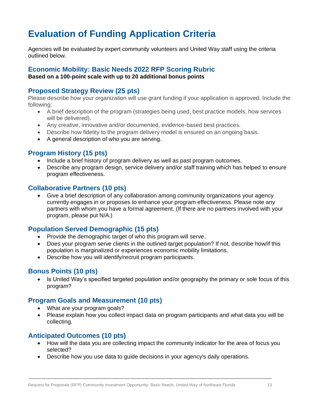# **Evaluation of Funding Application Criteria**

Agencies will be evaluated by expert community volunteers and United Way staff using the criteria outlined below.

# **Economic Mobility: Basic Needs 2022 RFP Scoring Rubric**

**Based on a 100-point scale with up to 20 additional bonus points**

# **Proposed Strategy Review (25 pts)**

Please describe how your organization will use grant funding if your application is approved. Include the following:

- A brief description of the program (strategies being used, best practice models, how services will be delivered).
- Any creative, innovative and/or documented, evidence-based best practices.
- Describe how fidelity to the program delivery model is ensured on an ongoing basis.
- A general description of who you are serving.

# **Program History (15 pts)**

- Include a brief history of program delivery as well as past program outcomes.
- Describe any program design, service delivery and/or staff training which has helped to ensure program effectiveness.

### **Collaborative Partners (10 pts)**

• Give a brief description of any collaboration among community organizations your agency currently engages in or proposes to enhance your program effectiveness. Please note any partners with whom you have a formal agreement. (If there are no partners involved with your program, please put N/A.)

### **Population Served Demographic (15 pts)**

- Provide the demographic target of who this program will serve.
- Does your program serve clients in the outlined target population? If not, describe how/if this population is marginalized or experiences economic mobility limitations.
- Describe how you will identify/recruit program participants.

# **Bonus Points (10 pts)**

• Is United Way's specified targeted population and/or geography the primary or sole focus of this program?

#### **Program Goals and Measurement (10 pts)**

- What are your program goals?
- Please explain how you collect impact data on program participants and what data you will be collecting.

#### **Anticipated Outcomes (10 pts)**

- How will the data you are collecting impact the community indicator for the area of focus you selected?
- Describe how you use data to guide decisions in your agency's daily operations.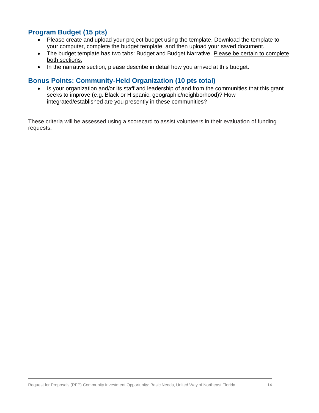# **Program Budget (15 pts)**

- Please create and upload your project budget using the template. Download the template to your computer, complete the budget template, and then upload your saved document.
- The budget template has two tabs: Budget and Budget Narrative. Please be certain to complete both sections.
- In the narrative section, please describe in detail how you arrived at this budget.

### **Bonus Points: Community-Held Organization (10 pts total)**

• Is your organization and/or its staff and leadership of and from the communities that this grant seeks to improve (e.g. Black or Hispanic, geographic/neighborhood)? How integrated/established are you presently in these communities?

These criteria will be assessed using a scorecard to assist volunteers in their evaluation of funding requests.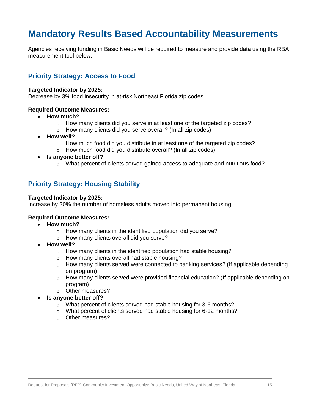# **Mandatory Results Based Accountability Measurements**

Agencies receiving funding in Basic Needs will be required to measure and provide data using the RBA measurement tool below.

# **Priority Strategy: Access to Food**

#### **Targeted Indicator by 2025:**

Decrease by 3% food insecurity in at-risk Northeast Florida zip codes

#### **Required Outcome Measures:**

- **How much?**
	- o How many clients did you serve in at least one of the targeted zip codes?
	- o How many clients did you serve overall? (In all zip codes)
- **How well?**
	- $\circ$  How much food did you distribute in at least one of the targeted zip codes?
	- o How much food did you distribute overall? (In all zip codes)
- **Is anyone better off?**
	- o What percent of clients served gained access to adequate and nutritious food?

### **Priority Strategy: Housing Stability**

#### **Targeted Indicator by 2025:**

Increase by 20% the number of homeless adults moved into permanent housing

#### **Required Outcome Measures:**

- **How much?**
	- o How many clients in the identified population did you serve?
	- o How many clients overall did you serve?
- **How well?**
	- o How many clients in the identified population had stable housing?
	- o How many clients overall had stable housing?
	- $\circ$  How many clients served were connected to banking services? (If applicable depending on program)
	- $\circ$  How many clients served were provided financial education? (If applicable depending on program)
	- o Other measures?
- **Is anyone better off?**
	- o What percent of clients served had stable housing for 3-6 months?
	- o What percent of clients served had stable housing for 6-12 months?
	- o Other measures?